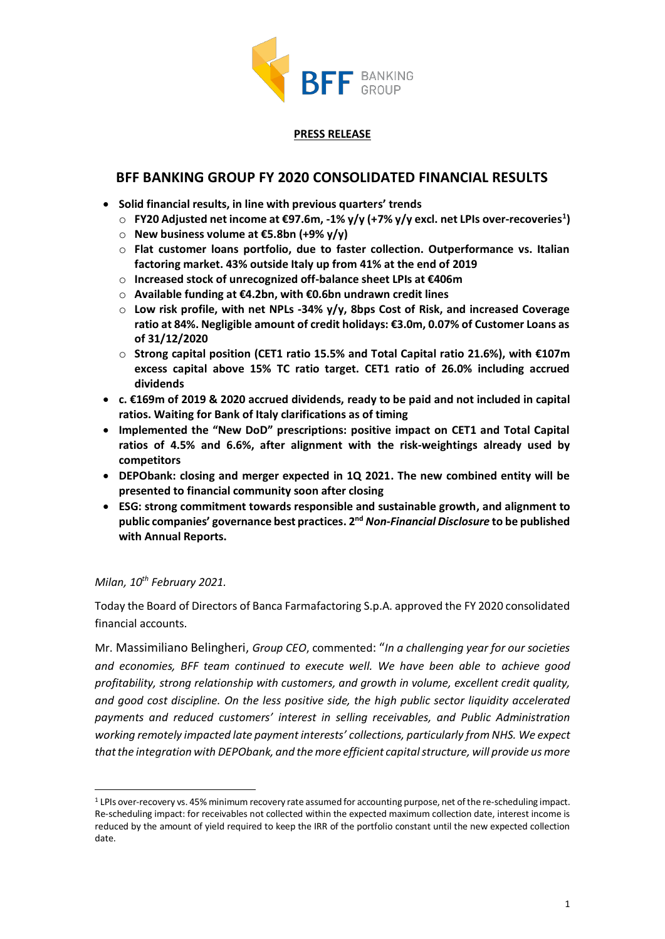

#### **PRESS RELEASE**

# **BFF BANKING GROUP FY 2020 CONSOLIDATED FINANCIAL RESULTS**

- **Solid financial results, in line with previous quarters' trends**
	- o **FY20 Adjusted net income at €97.6m, -1% y/y (+7% y/y excl. net LPIs over-recoveries<sup>1</sup> )**
	- o **New business volume at €5.8bn (+9% y/y)**
	- o **Flat customer loans portfolio, due to faster collection. Outperformance vs. Italian factoring market. 43% outside Italy up from 41% at the end of 2019**
	- o **Increased stock of unrecognized off-balance sheet LPIs at €406m**
	- o **Available funding at €4.2bn, with €0.6bn undrawn credit lines**
	- o **Low risk profile, with net NPLs -34% y/y, 8bps Cost of Risk, and increased Coverage ratio at 84%. Negligible amount of credit holidays: €3.0m, 0.07% of Customer Loans as of 31/12/2020**
	- o **Strong capital position (CET1 ratio 15.5% and Total Capital ratio 21.6%), with €107m excess capital above 15% TC ratio target. CET1 ratio of 26.0% including accrued dividends**
- **c. €169m of 2019 & 2020 accrued dividends, ready to be paid and not included in capital ratios. Waiting for Bank of Italy clarifications as of timing**
- **Implemented the "New DoD" prescriptions: positive impact on CET1 and Total Capital ratios of 4.5% and 6.6%, after alignment with the risk-weightings already used by competitors**
- **DEPObank: closing and merger expected in 1Q 2021. The new combined entity will be presented to financial community soon after closing**
- **ESG: strong commitment towards responsible and sustainable growth, and alignment to public companies' governance best practices. 2nd** *Non-Financial Disclosure* **to be published with Annual Reports.**

### *Milan, 10th February 2021.*

Today the Board of Directors of Banca Farmafactoring S.p.A. approved the FY 2020 consolidated financial accounts.

Mr. Massimiliano Belingheri, *Group CEO*, commented: "*In a challenging year for our societies and economies, BFF team continued to execute well. We have been able to achieve good profitability, strong relationship with customers, and growth in volume, excellent credit quality, and good cost discipline. On the less positive side, the high public sector liquidity accelerated payments and reduced customers' interest in selling receivables, and Public Administration working remotely impacted late payment interests' collections, particularly from NHS. We expect that the integration with DEPObank, and the more efficient capital structure, will provide us more* 

<sup>1</sup> LPIs over-recovery vs. 45% minimum recovery rate assumed for accounting purpose, net of the re-scheduling impact. Re-scheduling impact: for receivables not collected within the expected maximum collection date, interest income is reduced by the amount of yield required to keep the IRR of the portfolio constant until the new expected collection date.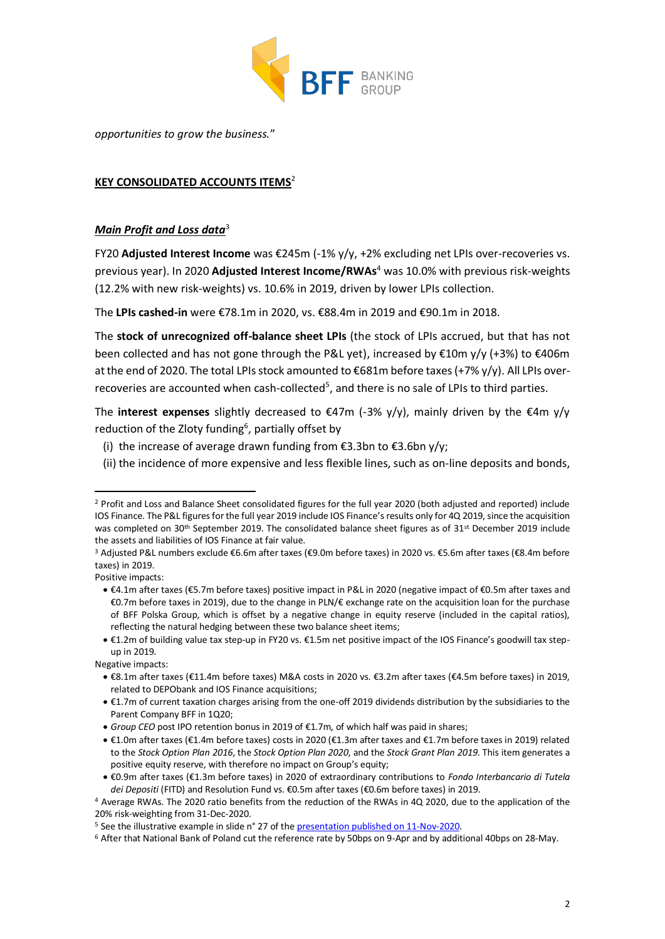

*opportunities to grow the business.*"

#### **KEY CONSOLIDATED ACCOUNTS ITEMS**<sup>2</sup>

#### *Main Profit and Loss data*<sup>3</sup>

FY20 **Adjusted Interest Income** was €245m (-1% y/y, +2% excluding net LPIs over-recoveries vs. previous year). In 2020 **Adjusted Interest Income/RWAs**<sup>4</sup> was 10.0% with previous risk-weights (12.2% with new risk-weights) vs. 10.6% in 2019, driven by lower LPIs collection.

The **LPIs cashed-in** were €78.1m in 2020, vs. €88.4m in 2019 and €90.1m in 2018.

The **stock of unrecognized off-balance sheet LPIs** (the stock of LPIs accrued, but that has not been collected and has not gone through the P&L yet), increased by €10m y/y (+3%) to €406m at the end of 2020. The total LPIs stock amounted to €681m before taxes (+7% y/y). All LPIs overrecoveries are accounted when cash-collected<sup>5</sup>, and there is no sale of LPIs to third parties.

The **interest expenses** slightly decreased to €47m (-3% y/y), mainly driven by the €4m y/y reduction of the Zloty funding<sup>6</sup>, partially offset by

- (i) the increase of average drawn funding from  $\epsilon$ 3.3bn to  $\epsilon$ 3.6bn y/y;
- (ii) the incidence of more expensive and less flexible lines, such as on-line deposits and bonds,

Positive impacts:

<sup>2</sup> Profit and Loss and Balance Sheet consolidated figures for the full year 2020 (both adjusted and reported) include IOS Finance. The P&L figures for the full year 2019 include IOS Finance's results only for 4Q 2019, since the acquisition was completed on 30<sup>th</sup> September 2019. The consolidated balance sheet figures as of 31<sup>st</sup> December 2019 include the assets and liabilities of IOS Finance at fair value.

<sup>3</sup> Adjusted P&L numbers exclude €6.6m after taxes (€9.0m before taxes) in 2020 vs. €5.6m after taxes (€8.4m before taxes) in 2019.

<sup>•</sup> €4.1m after taxes (€5.7m before taxes) positive impact in P&L in 2020 (negative impact of €0.5m after taxes and €0.7m before taxes in 2019), due to the change in PLN/€ exchange rate on the acquisition loan for the purchase of BFF Polska Group, which is offset by a negative change in equity reserve (included in the capital ratios), reflecting the natural hedging between these two balance sheet items;

<sup>•</sup> €1.2m of building value tax step-up in FY20 vs. €1.5m net positive impact of the IOS Finance's goodwill tax stepup in 2019.

Negative impacts:

<sup>•</sup> €8.1m after taxes (€11.4m before taxes) M&A costs in 2020 vs. €3.2m after taxes (€4.5m before taxes) in 2019, related to DEPObank and IOS Finance acquisitions;

<sup>•</sup> €1.7m of current taxation charges arising from the one-off 2019 dividends distribution by the subsidiaries to the Parent Company BFF in 1Q20;

<sup>•</sup> *Group CEO* post IPO retention bonus in 2019 of €1.7m, of which half was paid in shares;

<sup>•</sup> €1.0m after taxes (€1.4m before taxes) costs in 2020 (€1.3m after taxes and €1.7m before taxes in 2019) related to the *Stock Option Plan 2016*, the *Stock Option Plan 2020*, and the *Stock Grant Plan 2019*. This item generates a positive equity reserve, with therefore no impact on Group's equity;

<sup>•</sup> €0.9m after taxes (€1.3m before taxes) in 2020 of extraordinary contributions to *Fondo Interbancario di Tutela dei Depositi* (FITD) and Resolution Fund vs. €0.5m after taxes (€0.6m before taxes) in 2019.

<sup>4</sup> Average RWAs. The 2020 ratio benefits from the reduction of the RWAs in 4Q 2020, due to the application of the 20% risk-weighting from 31-Dec-2020.

<sup>5</sup> See the illustrative example in slide n° 27 of th[e presentation published on 11-Nov-2020.](https://investor.bffgroup.com/documents/956773/0/Virtual+roadshow+post+9M+2020+results_November+2020+v2.pdf/e49209aa-c578-9b14-4e5b-2b8d23a853e9)

<sup>6</sup> After that National Bank of Poland cut the reference rate by 50bps on 9-Apr and by additional 40bps on 28-May.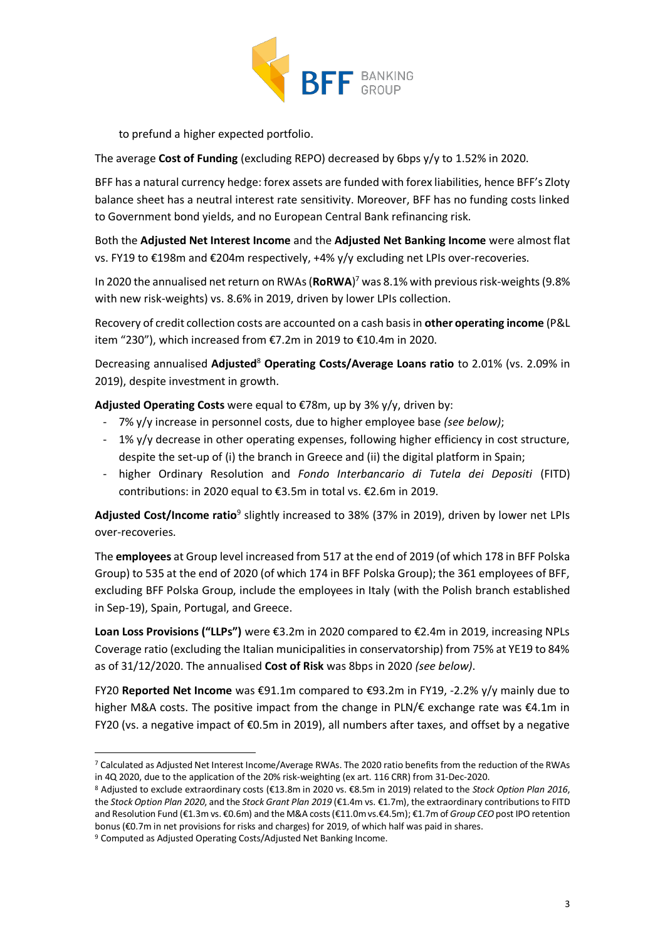

to prefund a higher expected portfolio.

The average **Cost of Funding** (excluding REPO) decreased by 6bps y/y to 1.52% in 2020.

BFF has a natural currency hedge: forex assets are funded with forex liabilities, hence BFF's Zloty balance sheet has a neutral interest rate sensitivity. Moreover, BFF has no funding costs linked to Government bond yields, and no European Central Bank refinancing risk.

Both the **Adjusted Net Interest Income** and the **Adjusted Net Banking Income** were almost flat vs. FY19 to €198m and €204m respectively, +4% y/y excluding net LPIs over-recoveries.

In 2020 the annualised net return on RWAs (**RoRWA**) <sup>7</sup> was 8.1% with previous risk-weights(9.8% with new risk-weights) vs. 8.6% in 2019, driven by lower LPIs collection.

Recovery of credit collection costs are accounted on a cash basis in **other operating income** (P&L item "230"), which increased from €7.2m in 2019 to €10.4m in 2020.

Decreasing annualised **Adjusted**<sup>8</sup> **Operating Costs/Average Loans ratio** to 2.01% (vs. 2.09% in 2019), despite investment in growth.

**Adjusted Operating Costs** were equal to €78m, up by 3% y/y, driven by:

- 7% y/y increase in personnel costs, due to higher employee base *(see below)*;
- 1% y/y decrease in other operating expenses, following higher efficiency in cost structure, despite the set-up of (i) the branch in Greece and (ii) the digital platform in Spain;
- higher Ordinary Resolution and *Fondo Interbancario di Tutela dei Depositi* (FITD) contributions: in 2020 equal to €3.5m in total vs. €2.6m in 2019.

Adjusted Cost/Income ratio<sup>9</sup> slightly increased to 38% (37% in 2019), driven by lower net LPIs over-recoveries.

The **employees** at Group level increased from 517 at the end of 2019 (of which 178 in BFF Polska Group) to 535 at the end of 2020 (of which 174 in BFF Polska Group); the 361 employees of BFF, excluding BFF Polska Group, include the employees in Italy (with the Polish branch established in Sep-19), Spain, Portugal, and Greece.

**Loan Loss Provisions ("LLPs")** were €3.2m in 2020 compared to €2.4m in 2019, increasing NPLs Coverage ratio (excluding the Italian municipalities in conservatorship) from 75% at YE19 to 84% as of 31/12/2020. The annualised **Cost of Risk** was 8bps in 2020 *(see below)*.

FY20 **Reported Net Income** was €91.1m compared to €93.2m in FY19, -2.2% y/y mainly due to higher M&A costs. The positive impact from the change in PLN/€ exchange rate was €4.1m in FY20 (vs. a negative impact of €0.5m in 2019), all numbers after taxes, and offset by a negative

<sup>7</sup> Calculated as Adjusted Net Interest Income/Average RWAs. The 2020 ratio benefits from the reduction of the RWAs in 4Q 2020, due to the application of the 20% risk-weighting (ex art. 116 CRR) from 31-Dec-2020.

<sup>8</sup> Adjusted to exclude extraordinary costs (€13.8m in 2020 vs. €8.5m in 2019) related to the *Stock Option Plan 2016*, the *Stock Option Plan 2020*, and the *Stock Grant Plan 2019* (€1.4m vs. €1.7m), the extraordinary contributions to FITD and Resolution Fund (€1.3m vs. €0.6m) and the M&A costs (€11.0m vs.€4.5m); €1.7m of *Group CEO* post IPO retention bonus (€0.7m in net provisions for risks and charges) for 2019, of which half was paid in shares.

<sup>9</sup> Computed as Adjusted Operating Costs/Adjusted Net Banking Income.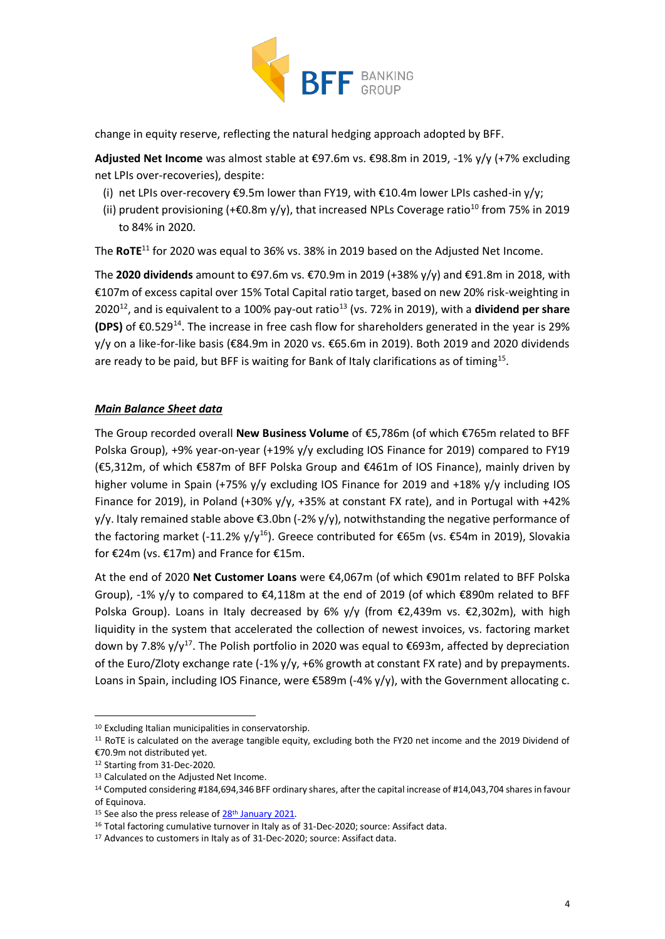

change in equity reserve, reflecting the natural hedging approach adopted by BFF.

**Adjusted Net Income** was almost stable at €97.6m vs. €98.8m in 2019, -1% y/y (+7% excluding net LPIs over-recoveries), despite:

- (i) net LPIs over-recovery €9.5m lower than FY19, with €10.4m lower LPIs cashed-in y/y;
- (ii) prudent provisioning (+ $\epsilon$ 0.8m y/y), that increased NPLs Coverage ratio<sup>10</sup> from 75% in 2019 to 84% in 2020.

The **RoTE**<sup>11</sup> for 2020 was equal to 36% vs. 38% in 2019 based on the Adjusted Net Income.

The **2020 dividends** amount to €97.6m vs. €70.9m in 2019 (+38% y/y) and €91.8m in 2018, with €107m of excess capital over 15% Total Capital ratio target, based on new 20% risk-weighting in 2020<sup>12</sup>, and is equivalent to a 100% pay-out ratio<sup>13</sup> (vs. 72% in 2019), with a **dividend per share (DPS)** of €0.529<sup>14</sup>. The increase in free cash flow for shareholders generated in the year is 29% y/y on a like-for-like basis (€84.9m in 2020 vs. €65.6m in 2019). Both 2019 and 2020 dividends are ready to be paid, but BFF is waiting for Bank of Italy clarifications as of timing<sup>15</sup>.

### *Main Balance Sheet data*

The Group recorded overall **New Business Volume** of €5,786m (of which €765m related to BFF Polska Group), +9% year-on-year (+19% y/y excluding IOS Finance for 2019) compared to FY19 (€5,312m, of which €587m of BFF Polska Group and €461m of IOS Finance), mainly driven by higher volume in Spain (+75% y/y excluding IOS Finance for 2019 and +18% y/y including IOS Finance for 2019), in Poland (+30% y/y, +35% at constant FX rate), and in Portugal with +42% y/y. Italy remained stable above €3.0bn (-2% y/y), notwithstanding the negative performance of the factoring market (-11.2% y/y<sup>16</sup>). Greece contributed for €65m (vs. €54m in 2019), Slovakia for €24m (vs. €17m) and France for €15m.

At the end of 2020 **Net Customer Loans** were €4,067m (of which €901m related to BFF Polska Group), -1% y/y to compared to  $\epsilon$ 4,118m at the end of 2019 (of which  $\epsilon$ 890m related to BFF Polska Group). Loans in Italy decreased by 6% y/y (from €2,439m vs. €2,302m), with high liquidity in the system that accelerated the collection of newest invoices, vs. factoring market down by 7.8% y/y<sup>17</sup>. The Polish portfolio in 2020 was equal to  $\epsilon$ 693m, affected by depreciation of the Euro/Zloty exchange rate (-1% y/y, +6% growth at constant FX rate) and by prepayments. Loans in Spain, including IOS Finance, were  $\epsilon$ 589m (-4% y/y), with the Government allocating c.

<sup>&</sup>lt;sup>10</sup> Excluding Italian municipalities in conservatorship.

<sup>11</sup> RoTE is calculated on the average tangible equity, excluding both the FY20 net income and the 2019 Dividend of €70.9m not distributed yet.

<sup>12</sup> Starting from 31-Dec-2020.

<sup>13</sup> Calculated on the Adiusted Net Income.

<sup>14</sup> Computed considering #184,694,346 BFF ordinary shares, after the capital increase of #14,043,704 shares in favour of Equinova.

<sup>&</sup>lt;sup>15</sup> See also the press release o[f 28](https://investor.bffgroup.com/en/press-releases/postponement-of-the-proposed-dividend-distribution-ordinary-shareholders-meeting)<sup>[th](https://investor.bffgroup.com/en/press-releases/postponement-of-the-proposed-dividend-distribution-ordinary-shareholders-meeting)</sup> [January](https://investor.bffgroup.com/en/press-releases/postponement-of-the-proposed-dividend-distribution-ordinary-shareholders-meeting) [2021.](https://investor.bffgroup.com/en/press-releases/postponement-of-the-proposed-dividend-distribution-ordinary-shareholders-meeting)

<sup>16</sup> Total factoring cumulative turnover in Italy as of 31-Dec-2020; source: Assifact data.

<sup>&</sup>lt;sup>17</sup> Advances to customers in Italy as of 31-Dec-2020; source: Assifact data.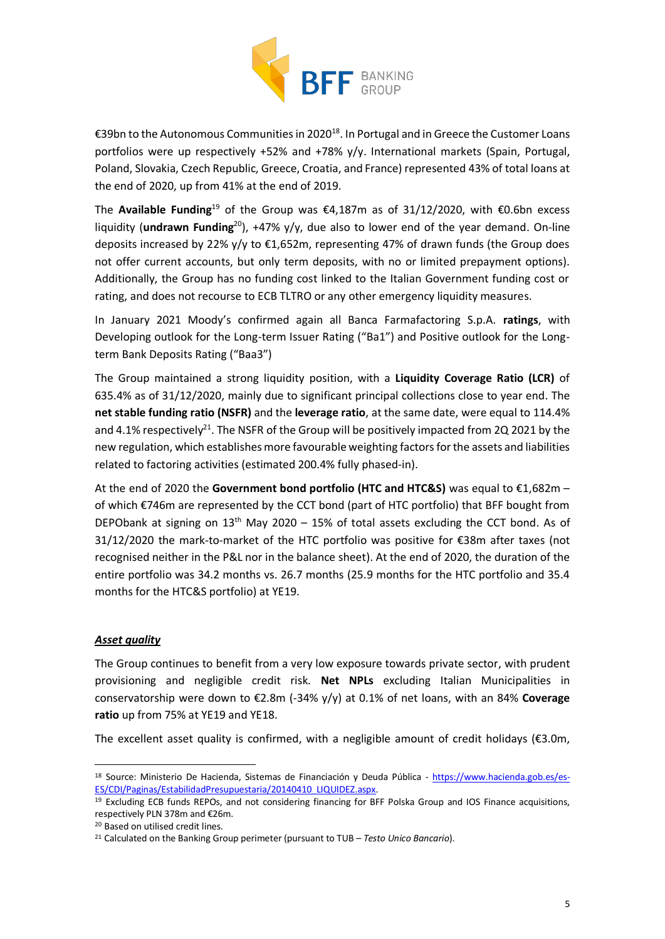

€39bn to the Autonomous Communities in 2020<sup>18</sup>. In Portugal and in Greece the Customer Loans portfolios were up respectively +52% and +78% y/y. International markets (Spain, Portugal, Poland, Slovakia, Czech Republic, Greece, Croatia, and France) represented 43% of total loans at the end of 2020, up from 41% at the end of 2019.

The **Available Funding**<sup>19</sup> of the Group was €4,187m as of 31/12/2020, with €0.6bn excess liquidity (**undrawn Funding**<sup>20</sup>), +47% y/y, due also to lower end of the year demand. On-line deposits increased by 22% y/y to €1,652m, representing 47% of drawn funds (the Group does not offer current accounts, but only term deposits, with no or limited prepayment options). Additionally, the Group has no funding cost linked to the Italian Government funding cost or rating, and does not recourse to ECB TLTRO or any other emergency liquidity measures.

In January 2021 Moody's confirmed again all Banca Farmafactoring S.p.A. **ratings**, with Developing outlook for the Long-term Issuer Rating ("Ba1") and Positive outlook for the Longterm Bank Deposits Rating ("Baa3")

The Group maintained a strong liquidity position, with a **Liquidity Coverage Ratio (LCR)** of 635.4% as of 31/12/2020, mainly due to significant principal collections close to year end. The **net stable funding ratio (NSFR)** and the **leverage ratio**, at the same date, were equal to 114.4% and 4.1% respectively<sup>21</sup>. The NSFR of the Group will be positively impacted from 2Q 2021 by the new regulation, which establishes more favourable weighting factors for the assets and liabilities related to factoring activities (estimated 200.4% fully phased-in).

At the end of 2020 the **Government bond portfolio (HTC and HTC&S)** was equal to €1,682m – of which €746m are represented by the CCT bond (part of HTC portfolio) that BFF bought from DEPObank at signing on  $13<sup>th</sup>$  May 2020 – 15% of total assets excluding the CCT bond. As of 31/12/2020 the mark-to-market of the HTC portfolio was positive for €38m after taxes (not recognised neither in the P&L nor in the balance sheet). At the end of 2020, the duration of the entire portfolio was 34.2 months vs. 26.7 months (25.9 months for the HTC portfolio and 35.4 months for the HTC&S portfolio) at YE19.

### *Asset quality*

The Group continues to benefit from a very low exposure towards private sector, with prudent provisioning and negligible credit risk. **Net NPLs** excluding Italian Municipalities in conservatorship were down to €2.8m (-34% y/y) at 0.1% of net loans, with an 84% **Coverage ratio** up from 75% at YE19 and YE18.

The excellent asset quality is confirmed, with a negligible amount of credit holidays ( $\epsilon$ 3.0m,

<sup>18</sup> Source: Ministerio De Hacienda, Sistemas de Financiación y Deuda Pública - [https://www.hacienda.gob.es/es-](https://www.hacienda.gob.es/es-ES/CDI/Paginas/EstabilidadPresupuestaria/20140410_LIQUIDEZ.aspx)[ES/CDI/Paginas/EstabilidadPresupuestaria/20140410\\_LIQUIDEZ.aspx.](https://www.hacienda.gob.es/es-ES/CDI/Paginas/EstabilidadPresupuestaria/20140410_LIQUIDEZ.aspx)

<sup>19</sup> Excluding ECB funds REPOs, and not considering financing for BFF Polska Group and IOS Finance acquisitions, respectively PLN 378m and €26m.

<sup>20</sup> Based on utilised credit lines.

<sup>21</sup> Calculated on the Banking Group perimeter (pursuant to TUB – *Testo Unico Bancario*).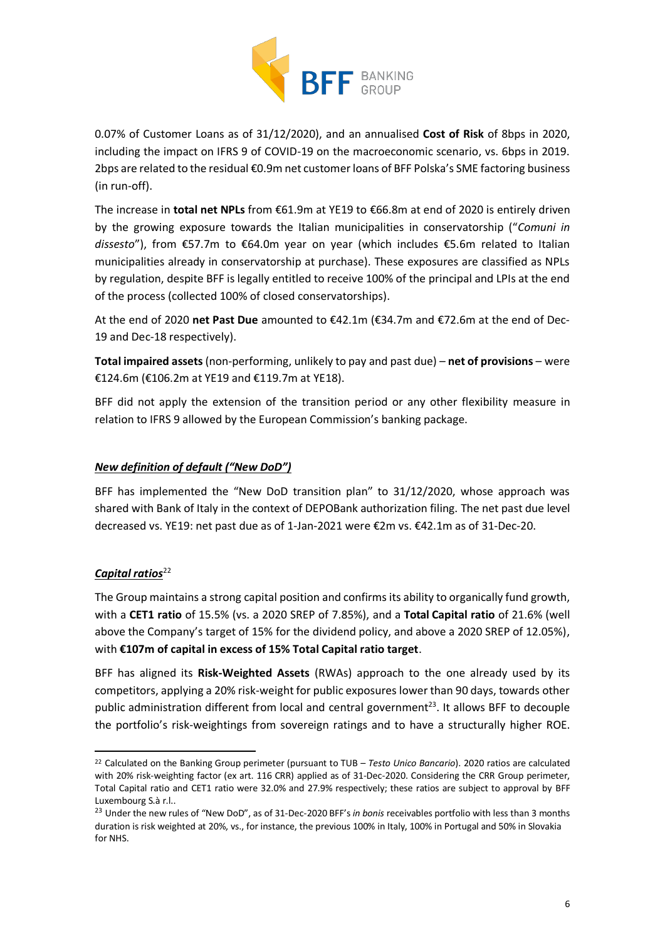

0.07% of Customer Loans as of 31/12/2020), and an annualised **Cost of Risk** of 8bps in 2020, including the impact on IFRS 9 of COVID-19 on the macroeconomic scenario, vs. 6bps in 2019. 2bps are related to the residual €0.9m net customer loans of BFF Polska's SME factoring business (in run-off).

The increase in **total net NPLs** from €61.9m at YE19 to €66.8m at end of 2020 is entirely driven by the growing exposure towards the Italian municipalities in conservatorship ("*Comuni in dissesto*"), from €57.7m to €64.0m year on year (which includes €5.6m related to Italian municipalities already in conservatorship at purchase). These exposures are classified as NPLs by regulation, despite BFF is legally entitled to receive 100% of the principal and LPIs at the end of the process (collected 100% of closed conservatorships).

At the end of 2020 **net Past Due** amounted to €42.1m (€34.7m and €72.6m at the end of Dec-19 and Dec-18 respectively).

**Total impaired assets** (non-performing, unlikely to pay and past due) – **net of provisions** – were €124.6m (€106.2m at YE19 and €119.7m at YE18).

BFF did not apply the extension of the transition period or any other flexibility measure in relation to IFRS 9 allowed by the European Commission's banking package.

## *New definition of default ("New DoD")*

BFF has implemented the "New DoD transition plan" to 31/12/2020, whose approach was shared with Bank of Italy in the context of DEPOBank authorization filing. The net past due level decreased vs. YE19: net past due as of 1-Jan-2021 were €2m vs. €42.1m as of 31-Dec-20.

# Capital ratios<sup>22</sup>

The Group maintains a strong capital position and confirms its ability to organically fund growth, with a **CET1 ratio** of 15.5% (vs. a 2020 SREP of 7.85%), and a **Total Capital ratio** of 21.6% (well above the Company's target of 15% for the dividend policy, and above a 2020 SREP of 12.05%), with **€107m of capital in excess of 15% Total Capital ratio target**.

BFF has aligned its **Risk-Weighted Assets** (RWAs) approach to the one already used by its competitors, applying a 20% risk-weight for public exposures lower than 90 days, towards other public administration different from local and central government<sup>23</sup>. It allows BFF to decouple the portfolio's risk-weightings from sovereign ratings and to have a structurally higher ROE.

<sup>22</sup> Calculated on the Banking Group perimeter (pursuant to TUB – *Testo Unico Bancario*). 2020 ratios are calculated with 20% risk-weighting factor (ex art. 116 CRR) applied as of 31-Dec-2020. Considering the CRR Group perimeter, Total Capital ratio and CET1 ratio were 32.0% and 27.9% respectively; these ratios are subject to approval by BFF Luxembourg S.à r.l..

<sup>23</sup> Under the new rules of "New DoD", as of 31-Dec-2020 BFF's *in bonis* receivables portfolio with less than 3 months duration is risk weighted at 20%, vs., for instance, the previous 100% in Italy, 100% in Portugal and 50% in Slovakia for NHS.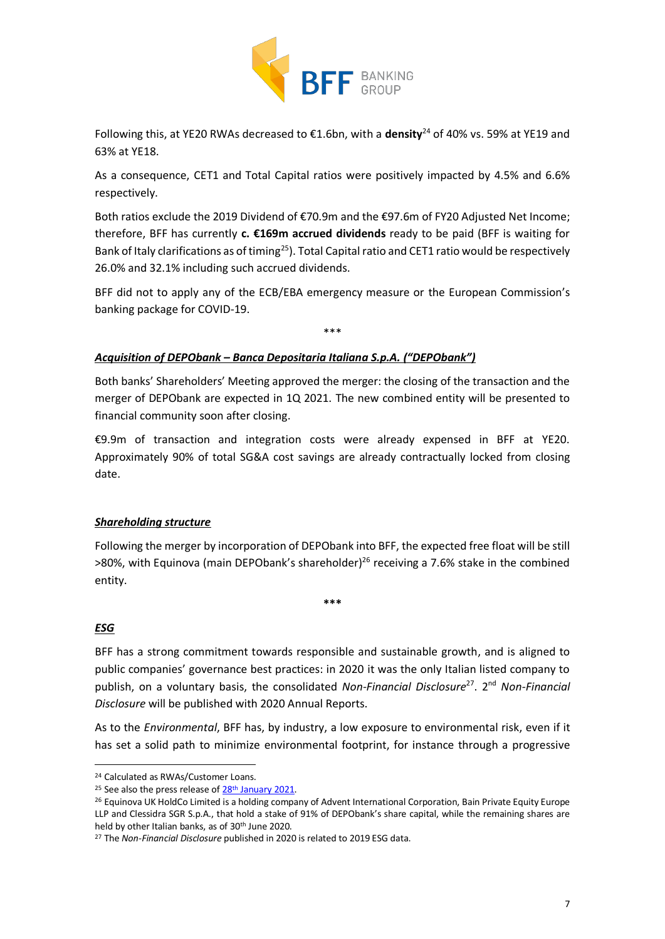

Following this, at YE20 RWAs decreased to €1.6bn, with a **density**<sup>24</sup> of 40% vs. 59% at YE19 and 63% at YE18.

As a consequence, CET1 and Total Capital ratios were positively impacted by 4.5% and 6.6% respectively.

Both ratios exclude the 2019 Dividend of €70.9m and the €97.6m of FY20 Adjusted Net Income; therefore, BFF has currently **c. €169m accrued dividends** ready to be paid (BFF is waiting for Bank of Italy clarifications as of timing<sup>25</sup>). Total Capital ratio and CET1 ratio would be respectively 26.0% and 32.1% including such accrued dividends.

BFF did not to apply any of the ECB/EBA emergency measure or the European Commission's banking package for COVID-19.

\*\*\*

## *Acquisition of DEPObank – Banca Depositaria Italiana S.p.A. ("DEPObank")*

Both banks' Shareholders' Meeting approved the merger: the closing of the transaction and the merger of DEPObank are expected in 1Q 2021. The new combined entity will be presented to financial community soon after closing.

€9.9m of transaction and integration costs were already expensed in BFF at YE20. Approximately 90% of total SG&A cost savings are already contractually locked from closing date.

# *Shareholding structure*

Following the merger by incorporation of DEPObank into BFF, the expected free float will be still  $>$ 80%, with Equinova (main DEPObank's shareholder)<sup>26</sup> receiving a 7.6% stake in the combined entity.

**\*\*\***

# *ESG*

BFF has a strong commitment towards responsible and sustainable growth, and is aligned to public companies' governance best practices: in 2020 it was the only Italian listed company to publish, on a voluntary basis, the consolidated Non-Financial Disclosure<sup>27</sup>. 2<sup>nd</sup> Non-Financial *Disclosure* will be published with 2020 Annual Reports.

As to the *Environmental*, BFF has, by industry, a low exposure to environmental risk, even if it has set a solid path to minimize environmental footprint, for instance through a progressive

<sup>24</sup> Calculated as RWAs/Customer Loans.

<sup>&</sup>lt;sup>25</sup> See also the press release o[f 28](https://investor.bffgroup.com/en/press-releases/postponement-of-the-proposed-dividend-distribution-ordinary-shareholders-meeting)<sup>[th](https://investor.bffgroup.com/en/press-releases/postponement-of-the-proposed-dividend-distribution-ordinary-shareholders-meeting)</sup> [January](https://investor.bffgroup.com/en/press-releases/postponement-of-the-proposed-dividend-distribution-ordinary-shareholders-meeting) [2021.](https://investor.bffgroup.com/en/press-releases/postponement-of-the-proposed-dividend-distribution-ordinary-shareholders-meeting)

<sup>&</sup>lt;sup>26</sup> Equinova UK HoldCo Limited is a holding company of Advent International Corporation, Bain Private Equity Europe LLP and Clessidra SGR S.p.A., that hold a stake of 91% of DEPObank's share capital, while the remaining shares are held by other Italian banks, as of 30<sup>th</sup> June 2020.

<sup>27</sup> The *Non-Financial Disclosure* published in 2020 is related to 2019 ESG data.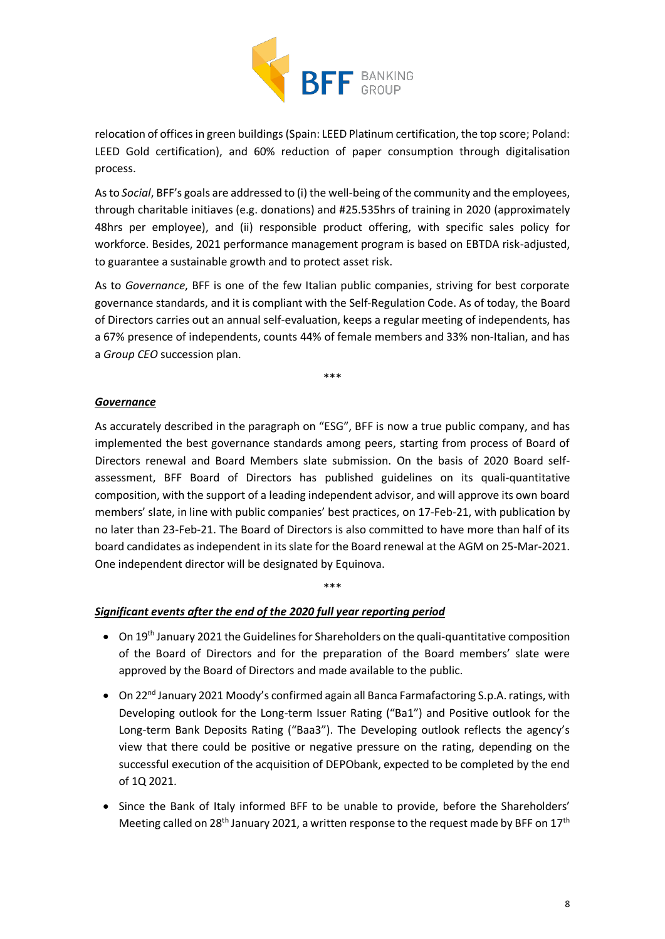

relocation of offices in green buildings (Spain: LEED Platinum certification, the top score; Poland: LEED Gold certification), and 60% reduction of paper consumption through digitalisation process.

Asto *Social*, BFF's goals are addressed to (i) the well-being of the community and the employees, through charitable initiaves (e.g. donations) and #25.535hrs of training in 2020 (approximately 48hrs per employee), and (ii) responsible product offering, with specific sales policy for workforce. Besides, 2021 performance management program is based on EBTDA risk-adjusted, to guarantee a sustainable growth and to protect asset risk.

As to *Governance*, BFF is one of the few Italian public companies, striving for best corporate governance standards, and it is compliant with the Self-Regulation Code. As of today, the Board of Directors carries out an annual self-evaluation, keeps a regular meeting of independents, has a 67% presence of independents, counts 44% of female members and 33% non-Italian, and has a *Group CEO* succession plan.

\*\*\*

#### *Governance*

As accurately described in the paragraph on "ESG", BFF is now a true public company, and has implemented the best governance standards among peers, starting from process of Board of Directors renewal and Board Members slate submission. On the basis of 2020 Board selfassessment, BFF Board of Directors has published guidelines on its quali-quantitative composition, with the support of a leading independent advisor, and will approve its own board members' slate, in line with public companies' best practices, on 17-Feb-21, with publication by no later than 23-Feb-21. The Board of Directors is also committed to have more than half of its board candidates as independent in its slate for the Board renewal at the AGM on 25-Mar-2021. One independent director will be designated by Equinova.

\*\*\*

### *Significant events after the end of the 2020 full year reporting period*

- On 19<sup>th</sup> January 2021 the Guidelines for Shareholders on the quali-quantitative composition of the Board of Directors and for the preparation of the Board members' slate were approved by the Board of Directors and made available to the public.
- On 22<sup>nd</sup> January 2021 Moody's confirmed again all Banca Farmafactoring S.p.A. ratings, with Developing outlook for the Long-term Issuer Rating ("Ba1") and Positive outlook for the Long-term Bank Deposits Rating ("Baa3"). The Developing outlook reflects the agency's view that there could be positive or negative pressure on the rating, depending on the successful execution of the acquisition of DEPObank, expected to be completed by the end of 1Q 2021.
- Since the Bank of Italy informed BFF to be unable to provide, before the Shareholders' Meeting called on 28<sup>th</sup> January 2021, a written response to the request made by BFF on 17<sup>th</sup>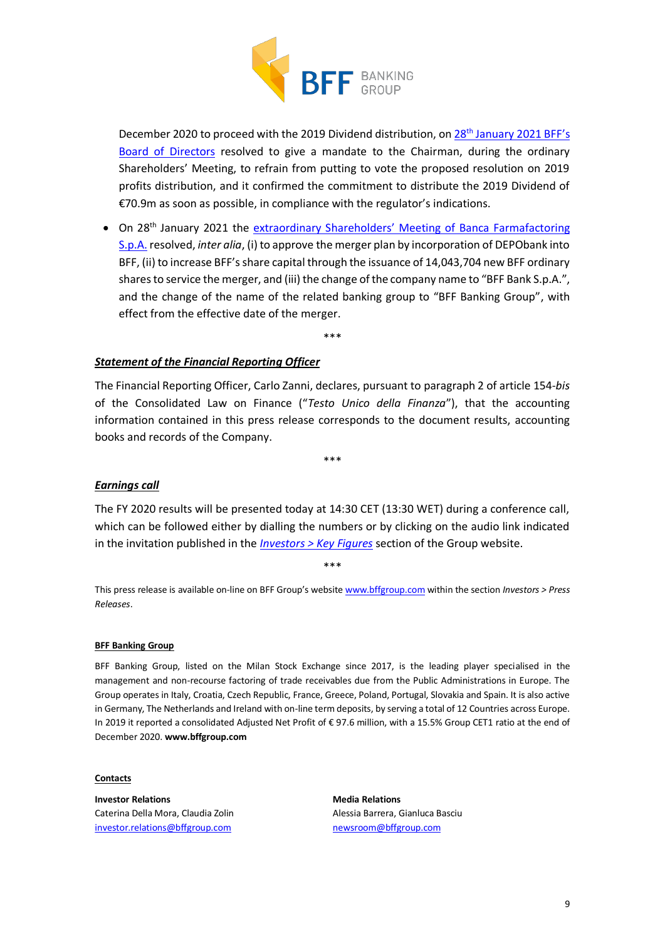

December 2020 to proceed with the 2019 Dividend distribution, on 28<sup>th</sup> [January 2021 B](https://investor.bffgroup.com/documents/20152/0/2021.01.28_BFF+-+PR_Postponement+of+the+proposed+dividend+distribution.pdf/89629c03-4c08-e256-f646-909e425f3453)FF's [Board of Directors](https://investor.bffgroup.com/documents/20152/0/2021.01.28_BFF+-+PR_Postponement+of+the+proposed+dividend+distribution.pdf/89629c03-4c08-e256-f646-909e425f3453) resolved to give a mandate to the Chairman, during the ordinary Shareholders' Meeting, to refrain from putting to vote the proposed resolution on 2019 profits distribution, and it confirmed the commitment to distribute the 2019 Dividend of €70.9m as soon as possible, in compliance with the regulator's indications.

• On 28<sup>th</sup> January 2021 the extraordinary S[hareholders' Meeting of](https://investor.bffgroup.com/documents/20152/0/2021.01.28_BFF+-+PR_Extraordinary+Shareholders%E2%80%99+Meeting+.pdf/b068401a-0082-6c78-eea4-4d4f01e59c96) Banca Farmafactoring [S.p.A.](https://investor.bffgroup.com/documents/20152/0/2021.01.28_BFF+-+PR_Extraordinary+Shareholders%E2%80%99+Meeting+.pdf/b068401a-0082-6c78-eea4-4d4f01e59c96) resolved, *inter alia*, (i) to approve the merger plan by incorporation of DEPObank into BFF, (ii) to increase BFF's share capital through the issuance of 14,043,704 new BFF ordinary shares to service the merger, and (iii) the change of the company name to "BFF Bank S.p.A.", and the change of the name of the related banking group to "BFF Banking Group", with effect from the effective date of the merger.

\*\*\*

#### *Statement of the Financial Reporting Officer*

The Financial Reporting Officer, Carlo Zanni, declares, pursuant to paragraph 2 of article 154-*bis* of the Consolidated Law on Finance ("*Testo Unico della Finanza*"), that the accounting information contained in this press release corresponds to the document results, accounting books and records of the Company.

\*\*\*

#### *Earnings call*

The FY 2020 results will be presented today at 14:30 CET (13:30 WET) during a conference call, which can be followed either by dialling the numbers or by clicking on the audio link indicated in the invitation published in the *[Investors > Key Figures](file:///C:/Users/Belingheri/AppData/Local/Microsoft/Windows/INetCache/Content.Outlook/EXYLMOLJ/investor.bffgroup.com/en/key-figures)* section of the Group website.

\*\*\*

This press release is available on-line on BFF Group's website [www.bffgroup.com](https://www.bffgroup.com/en/home) within the section *Investors > Press Releases*.

#### **BFF Banking Group**

BFF Banking Group, listed on the Milan Stock Exchange since 2017, is the leading player specialised in the management and non-recourse factoring of trade receivables due from the Public Administrations in Europe. The Group operates in Italy, Croatia, Czech Republic, France, Greece, Poland, Portugal, Slovakia and Spain. It is also active in Germany, The Netherlands and Ireland with on-line term deposits, by serving a total of 12 Countries across Europe. In 2019 it reported a consolidated Adjusted Net Profit of € 97.6 million, with a 15.5% Group CET1 ratio at the end of December 2020. **www.bffgroup.com**

#### **Contacts**

**Investor Relations** Caterina Della Mora, Claudia Zolin [investor.relations@bffgroup.com](mailto:investor.relations@bffgroup.com)

**Media Relations** Alessia Barrera, Gianluca Basciu [newsroom@bffgroup.com](mailto:newsroom@bffgroup.com)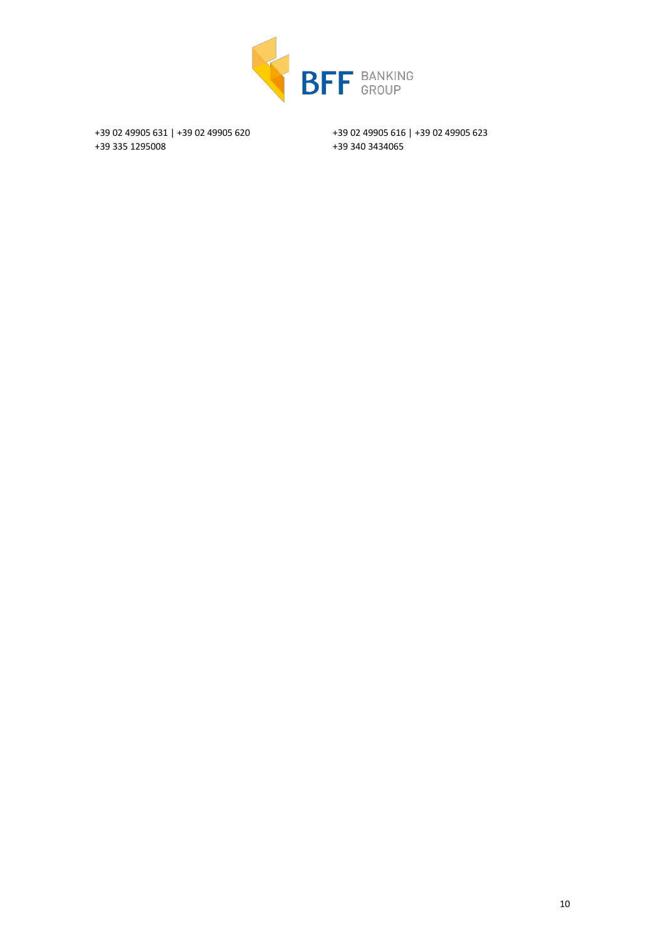

+39 02 49905 631 | +39 02 49905 620 +39 335 1295008

+39 02 49905 616 | +39 02 49905 623 +39 340 3434065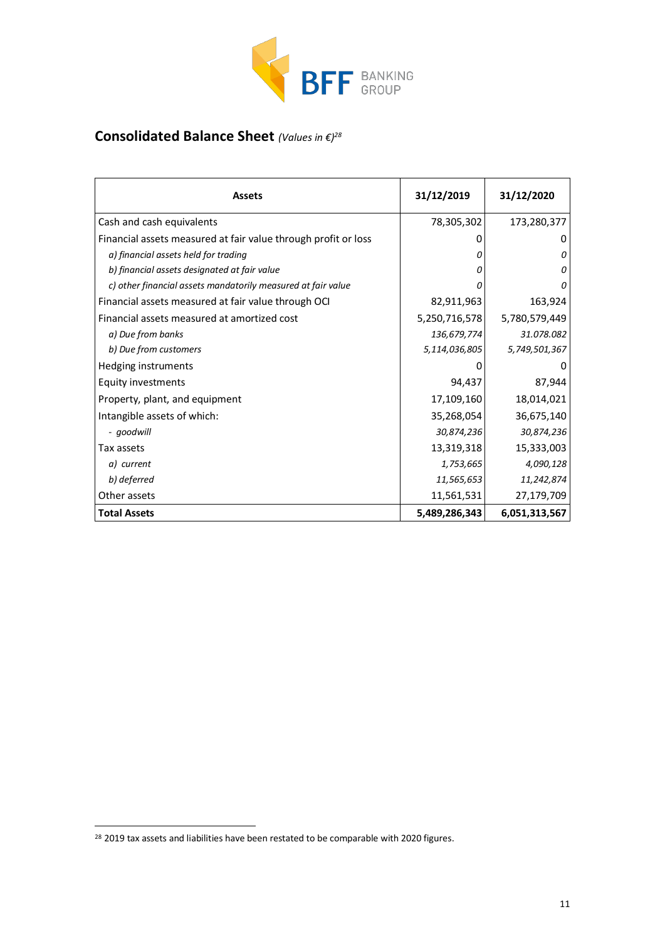

# **Consolidated Balance Sheet** *(Values in €)<sup>28</sup>*

| <b>Assets</b>                                                  | 31/12/2019    | 31/12/2020    |
|----------------------------------------------------------------|---------------|---------------|
| Cash and cash equivalents                                      | 78,305,302    | 173,280,377   |
| Financial assets measured at fair value through profit or loss | $\Omega$      |               |
| a) financial assets held for trading                           | 0             | 0             |
| b) financial assets designated at fair value                   | Ω             | 0             |
| c) other financial assets mandatorily measured at fair value   | n             |               |
| Financial assets measured at fair value through OCI            | 82,911,963    | 163,924       |
| Financial assets measured at amortized cost                    | 5,250,716,578 | 5,780,579,449 |
| a) Due from banks                                              | 136,679,774   | 31.078.082    |
| b) Due from customers                                          | 5,114,036,805 | 5,749,501,367 |
| Hedging instruments                                            | O             | O             |
| Equity investments                                             | 94,437        | 87,944        |
| Property, plant, and equipment                                 | 17,109,160    | 18,014,021    |
| Intangible assets of which:                                    | 35,268,054    | 36,675,140    |
| - goodwill                                                     | 30,874,236    | 30,874,236    |
| Tax assets                                                     | 13,319,318    | 15,333,003    |
| a) current                                                     | 1,753,665     | 4,090,128     |
| b) deferred                                                    | 11,565,653    | 11,242,874    |
| Other assets                                                   | 11,561,531    | 27,179,709    |
| <b>Total Assets</b>                                            | 5,489,286,343 | 6,051,313,567 |

<sup>&</sup>lt;sup>28</sup> 2019 tax assets and liabilities have been restated to be comparable with 2020 figures.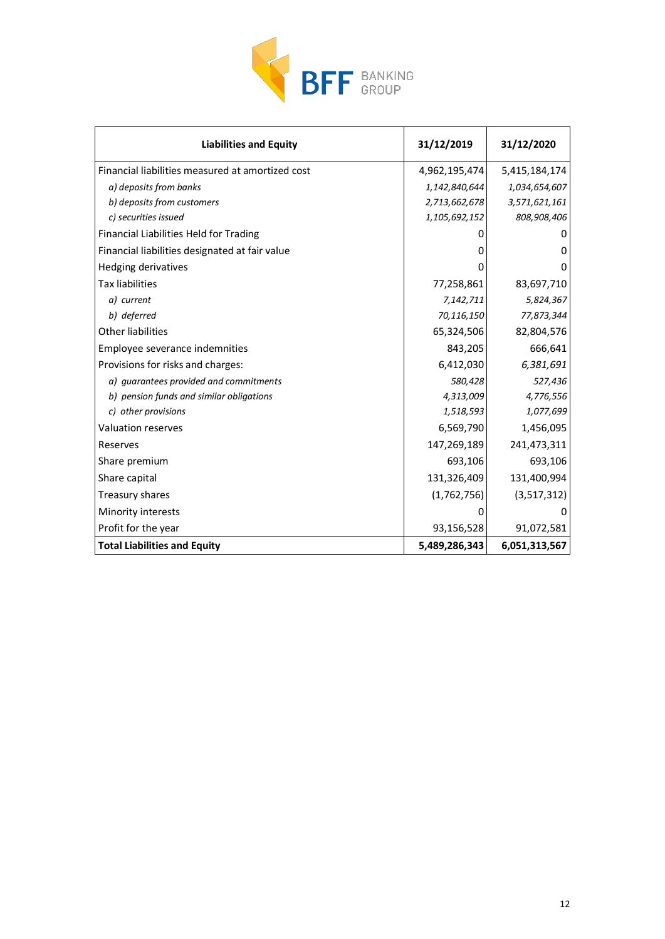

| <b>Liabilities and Equity</b>                    | 31/12/2019    | 31/12/2020    |
|--------------------------------------------------|---------------|---------------|
| Financial liabilities measured at amortized cost | 4,962,195,474 | 5,415,184,174 |
| a) deposits from banks                           | 1,142,840,644 | 1,034,654,607 |
| b) deposits from customers                       | 2,713,662,678 | 3,571,621,161 |
| c) securities issued                             | 1,105,692,152 | 808,908,406   |
| Financial Liabilities Held for Trading           |               | 0             |
| Financial liabilities designated at fair value   | 0             | 0             |
| Hedging derivatives                              | 0             | 0             |
| <b>Tax liabilities</b>                           | 77,258,861    | 83,697,710    |
| a) current                                       | 7,142,711     | 5,824,367     |
| b) deferred                                      | 70,116,150    | 77,873,344    |
| <b>Other liabilities</b>                         | 65,324,506    | 82,804,576    |
| Employee severance indemnities                   | 843,205       | 666,641       |
| Provisions for risks and charges:                | 6,412,030     | 6,381,691     |
| a) quarantees provided and commitments           | 580,428       | 527,436       |
| b) pension funds and similar obligations         | 4,313,009     | 4,776,556     |
| c) other provisions                              | 1,518,593     | 1,077,699     |
| Valuation reserves                               | 6,569,790     | 1,456,095     |
| Reserves                                         | 147,269,189   | 241,473,311   |
| Share premium                                    | 693,106       | 693,106       |
| Share capital                                    | 131,326,409   | 131,400,994   |
| Treasury shares                                  | (1,762,756)   | (3,517,312)   |
| Minority interests                               | 0             | 0             |
| Profit for the year                              | 93,156,528    | 91,072,581    |
| <b>Total Liabilities and Equity</b>              | 5,489,286,343 | 6,051,313,567 |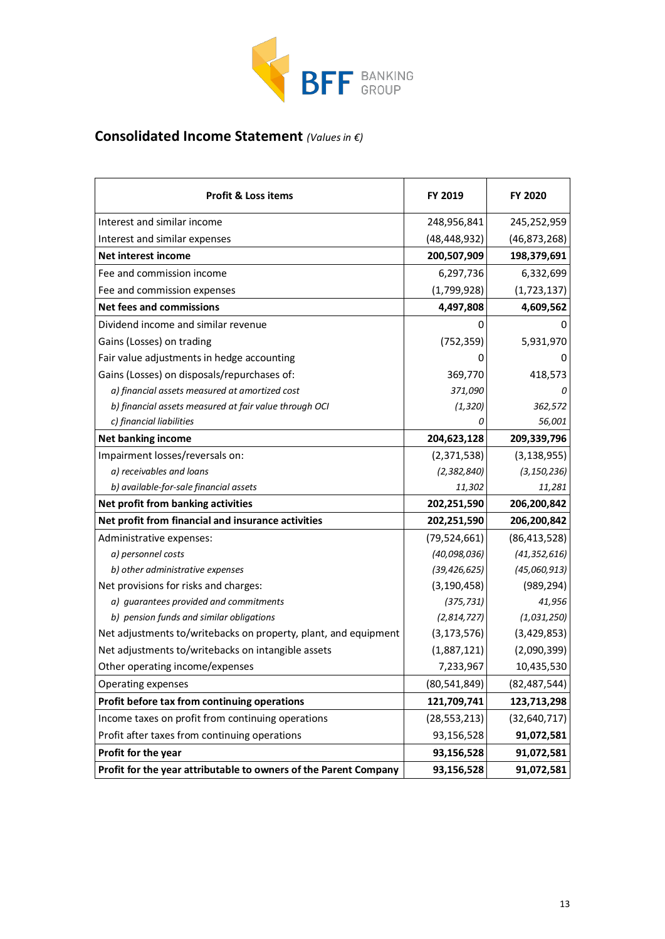

# **Consolidated Income Statement** *(Values in €)*

| <b>Profit &amp; Loss items</b>                                   | <b>FY 2019</b> | <b>FY 2020</b> |
|------------------------------------------------------------------|----------------|----------------|
| Interest and similar income                                      | 248,956,841    | 245,252,959    |
| Interest and similar expenses                                    | (48, 448, 932) | (46, 873, 268) |
| Net interest income                                              | 200,507,909    | 198,379,691    |
| Fee and commission income                                        | 6,297,736      | 6,332,699      |
| Fee and commission expenses                                      | (1,799,928)    | (1,723,137)    |
| <b>Net fees and commissions</b>                                  | 4,497,808      | 4,609,562      |
| Dividend income and similar revenue                              | 0              | 0              |
| Gains (Losses) on trading                                        | (752, 359)     | 5,931,970      |
| Fair value adjustments in hedge accounting                       | 0              | 0              |
| Gains (Losses) on disposals/repurchases of:                      | 369,770        | 418,573        |
| a) financial assets measured at amortized cost                   | 371,090        | 0              |
| b) financial assets measured at fair value through OCI           | (1, 320)       | 362,572        |
| c) financial liabilities                                         | Ω              | 56,001         |
| <b>Net banking income</b>                                        | 204,623,128    | 209,339,796    |
| Impairment losses/reversals on:                                  | (2,371,538)    | (3, 138, 955)  |
| a) receivables and loans                                         | (2, 382, 840)  | (3, 150, 236)  |
| b) available-for-sale financial assets                           | 11,302         | 11,281         |
| Net profit from banking activities                               | 202,251,590    | 206,200,842    |
| Net profit from financial and insurance activities               | 202,251,590    | 206,200,842    |
| Administrative expenses:                                         | (79, 524, 661) | (86, 413, 528) |
| a) personnel costs                                               | (40,098,036)   | (41, 352, 616) |
| b) other administrative expenses                                 | (39, 426, 625) | (45,060,913)   |
| Net provisions for risks and charges:                            | (3, 190, 458)  | (989, 294)     |
| a) guarantees provided and commitments                           | (375, 731)     | 41,956         |
| b) pension funds and similar obligations                         | (2,814,727)    | (1,031,250)    |
| Net adjustments to/writebacks on property, plant, and equipment  | (3, 173, 576)  | (3,429,853)    |
| Net adjustments to/writebacks on intangible assets               | (1,887,121)    | (2,090,399)    |
| Other operating income/expenses                                  | 7,233,967      | 10,435,530     |
| Operating expenses                                               | (80, 541, 849) | (82, 487, 544) |
| Profit before tax from continuing operations                     | 121,709,741    | 123,713,298    |
| Income taxes on profit from continuing operations                | (28, 553, 213) | (32, 640, 717) |
| Profit after taxes from continuing operations                    | 93,156,528     | 91,072,581     |
| Profit for the year                                              | 93,156,528     | 91,072,581     |
| Profit for the year attributable to owners of the Parent Company | 93,156,528     | 91,072,581     |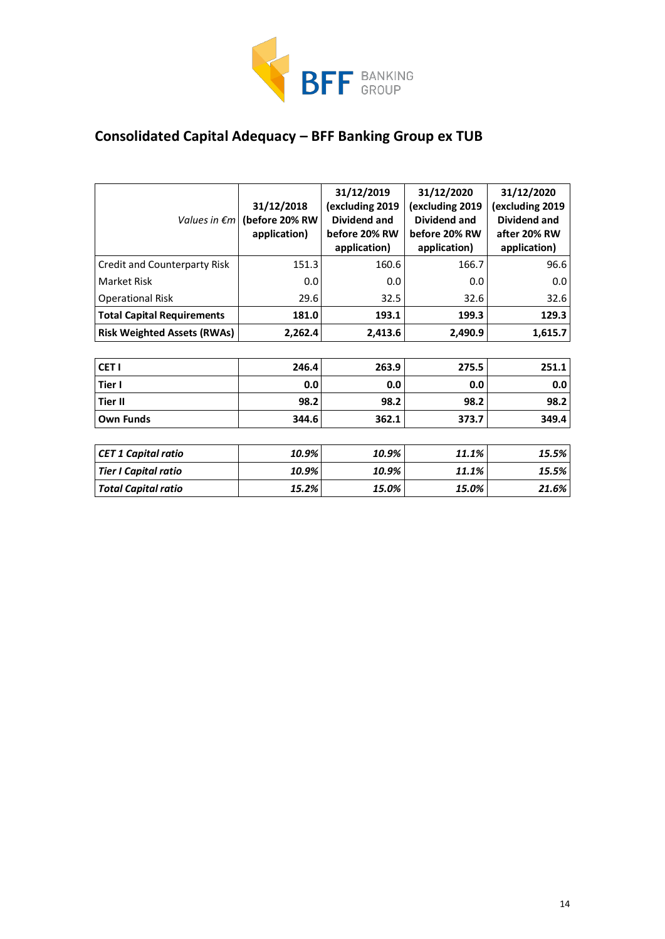

# **Consolidated Capital Adequacy – BFF Banking Group ex TUB**

|                                     | 31/12/2018<br>Values in $\epsilon m$ (before 20% RW<br>application) | 31/12/2019<br>(excluding 2019<br>Dividend and<br>before 20% RW<br>application) | 31/12/2020<br>(excluding 2019<br>Dividend and<br>before 20% RW<br>application) | 31/12/2020<br>(excluding 2019<br><b>Dividend and</b><br>after 20% RW<br>application) |
|-------------------------------------|---------------------------------------------------------------------|--------------------------------------------------------------------------------|--------------------------------------------------------------------------------|--------------------------------------------------------------------------------------|
| <b>Credit and Counterparty Risk</b> | 151.3                                                               | 160.6                                                                          | 166.7                                                                          | 96.6                                                                                 |
| Market Risk                         | 0.0                                                                 | 0.0                                                                            | 0.0                                                                            | 0.0                                                                                  |
| <b>Operational Risk</b>             | 29.6                                                                | 32.5                                                                           | 32.6                                                                           | 32.6                                                                                 |
| <b>Total Capital Requirements</b>   | 181.0                                                               | 193.1                                                                          | 199.3                                                                          | 129.3                                                                                |
| <b>Risk Weighted Assets (RWAs)</b>  | 2,262.4                                                             | 2,413.6                                                                        | 2,490.9                                                                        | 1,615.7                                                                              |
|                                     |                                                                     |                                                                                |                                                                                |                                                                                      |
| CET <sub>I</sub>                    | 246.4                                                               | 263.9                                                                          | 275.5                                                                          | 251.1                                                                                |
| Tier I                              | 0.0                                                                 | 0.0                                                                            | 0.0                                                                            | 0.0                                                                                  |
| <b>Tier II</b>                      | 98.2                                                                | 98.2                                                                           | 98.2                                                                           | 98.2                                                                                 |
| <b>Own Funds</b>                    | 344.6                                                               | 362.1                                                                          | 373.7                                                                          | 349.4                                                                                |
|                                     |                                                                     |                                                                                |                                                                                |                                                                                      |
| <b>CET 1 Capital ratio</b>          | 10.9%                                                               | 10.9%                                                                          | 11.1%                                                                          | 15.5%                                                                                |
| <b>Tier I Capital ratio</b>         | 10.9%                                                               | 10.9%                                                                          | 11.1%                                                                          | 15.5%                                                                                |
| <b>Total Capital ratio</b>          | 15.2%                                                               | 15.0%                                                                          | 15.0%                                                                          | 21.6%                                                                                |